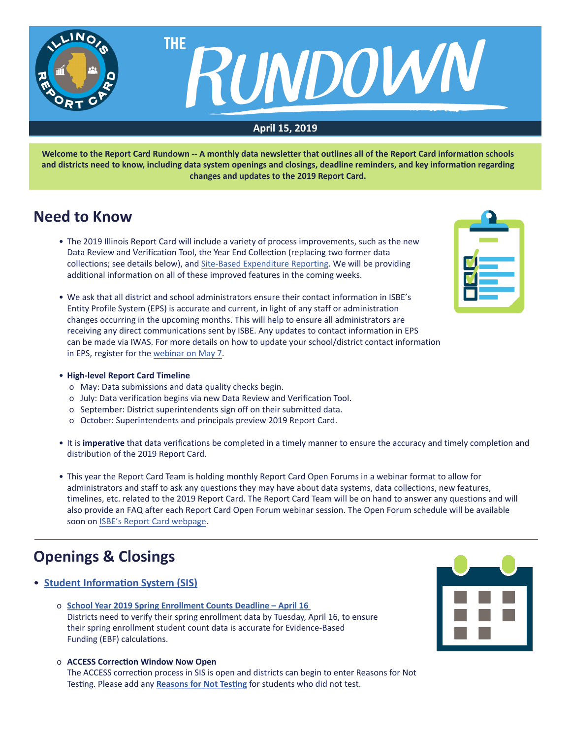

**Welcome to the Report Card Rundown -- A monthly data newsletter that outlines all of the Report Card information schools and districts need to know, including data system openings and closings, deadline reminders, and key information regarding changes and updates to the 2019 Report Card.**

## **Need to Know**

- The 2019 Illinois Report Card will include a variety of process improvements, such as the new Data Review and Verification Tool, the Year End Collection (replacing two former data collections; see details below), and Site-Based Expenditure Reporting. We will be providing additional information on all of these improved features in the coming weeks.
- We ask that all district and school administrators ensure their contact information in ISBE's Entity Profile System (EPS) is accurate and current, in light of any staff or administration changes occurring in the upcoming months. This will help to ensure all administrators are receiving any direct communications sent by ISBE. Any updates to contact information in EPS can be made via IWAS. For more details on how to update your school/district contact information in EPS, register for the webinar on May 7.
- **High-level Report Card Timeline**
	- o May: Data submissions and data quality checks begin.
	- o July: Data verification begins via new Data Review and Verification Tool.
	- o September: District superintendents sign off on their submitted data.
	- o October: Superintendents and principals preview 2019 Report Card.
- It is **imperative** that data verifications be completed in a timely manner to ensure the accuracy and timely completion and distribution of the 2019 Report Card.
- This year the Report Card Team is holding monthly Report Card Open Forums in a webinar format to allow for administrators and staff to ask any questions they may have about data systems, data collections, new features, timelines, etc. related to the 2019 Report Card. The Report Card Team will be on hand to answer any questions and will also provide an FAQ after each Report Card Open Forum webinar session. The Open Forum schedule will be available soon on ISBE's Report Card webpage.

# **Openings & Closings**

- **[Student Information System \(SIS](https://www.isbe.net/Pages/Student-Information-System.aspx))**
	- o **[School Year 2019 Spring Enrollment Counts Deadline April 16](https://www.isbe.net/Documents/RR-Spring-Enroll-Counts-Deadline.pdf)** Districts need to verify their spring enrollment data by Tuesday, April 16, to ensure their spring enrollment student count data is accurate for Evidence-Based Funding (EBF) calculations.
	- o **ACCESS Correction Window Now Open** The ACCESS correction process in SIS is open and districts can begin to enter Reasons for Not Testing. Please add any **[Reasons for Not Testing](https://www.isbe.net/Documents/access-reason-not-testing.pdf)** for students who did not test.



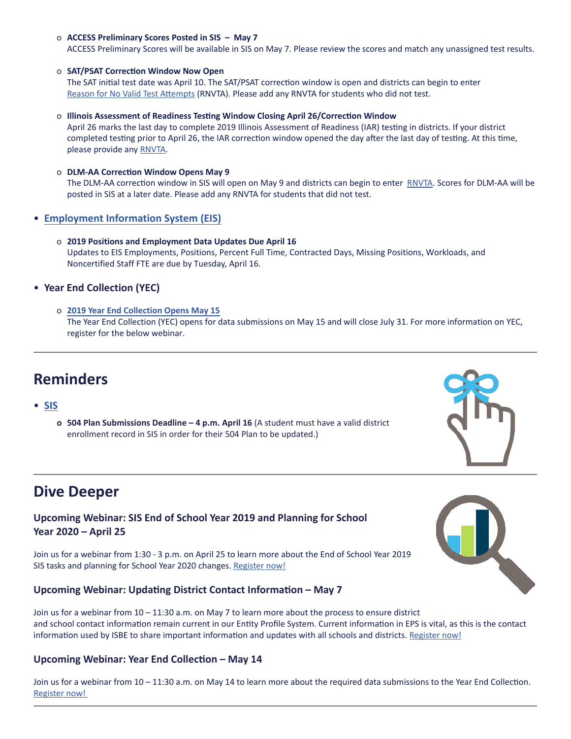### o **ACCESS Preliminary Scores Posted in SIS – May 7**

ACCESS Preliminary Scores will be available in SIS on May 7. Please review the scores and match any unassigned test results.

#### o **SAT/PSAT Correction Window Now Open**

The SAT initial test date was April 10. The SAT/PSAT correction window is open and districts can begin to enter Reason for No Valid Test [Attempts](https://www.isbe.net/Documents/reason-no-valid-test-attmpt.pdf) (RNVTA). Please add any RNVTA for students who did not test.

#### o **Illinois Assessment of Readiness Testing Window Closing April 26/Correction Window**

April 26 marks the last day to complete 2019 Illinois Assessment of Readiness (IAR) testing in districts. If your district completed testing prior to April 26, the IAR correction window opened the day after the last day of testing. At this time, please provide any **RNVTA**.

#### o **DLM-AA Correction Window Opens May 9**

The DLM-AA correction window in SIS will open on May 9 and districts can begin to enter [RNVTA](https://www.isbe.net/Documents/reason-no-valid-test-attmpt.pdf). Scores for DLM-AA will be posted in SIS at a later date. Please add any RNVTA for students that did not test.

- **Employment Information System (EIS)**
	- o **2019 Positions and Employment Data Updates Due April 16** Updates to EIS Employments, Positions, Percent Full Time, Contracted Days, Missing Positions, Workloads, and Noncertified Staff FTE are due by Tuesday, April 16.

### • **Year End Collection (YEC)**

o **[2019 Year End Collection Opens May 15](https://www.isbe.net/Documents/RR-YEC-Memo.pdf)** The Year End Collection (YEC) opens for data submissions on May 15 and will close July 31. For more information on YEC, register for the below webinar.

## **Reminders**

### • **[SIS](https://www.isbe.net/Pages/Student-Information-System.aspx)**

**o 504 Plan Submissions Deadline – 4 p.m. April 16** (A student must have a valid district enrollment record in SIS in order for their 504 Plan to be updated.)

## **Dive Deeper**

## **Upcoming Webinar: SIS End of School Year 2019 and Planning for School Year 2020 – April 25**

Join us for a webinar from 1:30 - 3 p.m. on April 25 to learn more about the End of School Year 2019 SIS tasks and planning for School Year 2020 changes. [Register now!](https://attendee.gotowebinar.com/register/8927574119142055938)

### **Upcoming Webinar: Updating District Contact Information – May 7**

Join us for a webinar from 10 – 11:30 a.m. on May 7 to learn more about the process to ensure district and school contact information remain current in our Entity Profile System. Current information in EPS is vital, as this is the contact information used by ISBE to share important information and updates with all schools and districts. [Register now!](https://register.gotowebinar.com/register/231892897962512898)

### **Upcoming Webinar: Year End Collection – May 14**

Join us for a webinar from  $10 - 11:30$  a.m. on May 14 to learn more about the required data submissions to the Year End Collection. [Register now!](https://register.gotowebinar.com/register/5675751988453862914)